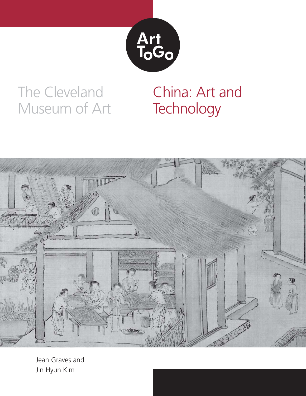

## The Cleveland Museum of Art

# China: Art and **Technology**



Jean Graves and Jin Hyun Kim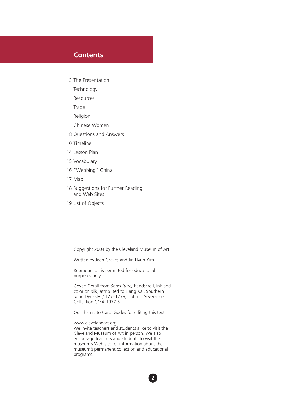### **Contents**

- 3 The Presentation
	- **Technology**
	- Resources
	- **Trade**
	- Religion
	- Chinese Women
- 8 Questions and Answers
- 10 Timeline
- 14 Lesson Plan
- 15 Vocabulary
- 16 "Webbing" China
- 17 Map
- 18 Suggestions for Further Reading and Web Sites
- 19 List of Objects

Copyright 2004 by the Cleveland Museum of Art

Written by Jean Graves and Jin Hyun Kim.

Reproduction is permitted for educational purposes only.

Cover: Detail from *Sericulture,* handscroll, ink and color on silk, attributed to Liang Kai, Southern Song Dynasty (1127–1279). John L. Severance Collection CMA 1977.5

Our thanks to Carol Godes for editing this text.

www.clevelandart.org We invite teachers and students alike to visit the Cleveland Museum of Art in person. We also encourage teachers and students to visit the museum's Web site for information about the museum's permanent collection and educational programs.

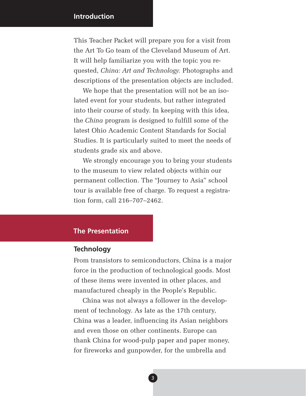### **Introduction**

This Teacher Packet will prepare you for a visit from the Art To Go team of the Cleveland Museum of Art. It will help familiarize you with the topic you requested, *China: Art and Technology.* Photographs and descriptions of the presentation objects are included.

We hope that the presentation will not be an isolated event for your students, but rather integrated into their course of study. In keeping with this idea, the *China* program is designed to fulfill some of the latest Ohio Academic Content Standards for Social Studies. It is particularly suited to meet the needs of students grade six and above.

We strongly encourage you to bring your students to the museum to view related objects within our permanent collection. The "Journey to Asia" school tour is available free of charge. To request a registration form, call 216–707–2462.

### **The Presentation**

### **Technology**

From transistors to semiconductors, China is a major force in the production of technological goods. Most of these items were invented in other places, and manufactured cheaply in the People's Republic.

China was not always a follower in the development of technology. As late as the 17th century, China was a leader, influencing its Asian neighbors and even those on other continents. Europe can thank China for wood-pulp paper and paper money, for fireworks and gunpowder, for the umbrella and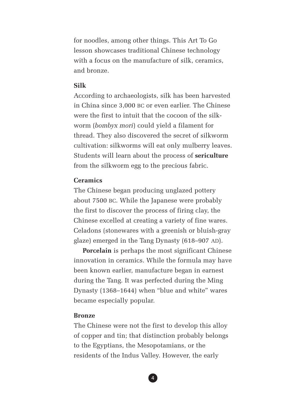for noodles, among other things. This Art To Go lesson showcases traditional Chinese technology with a focus on the manufacture of silk, ceramics, and bronze.

### **Silk**

According to archaeologists, silk has been harvested in China since 3,000 BC or even earlier. The Chinese were the first to intuit that the cocoon of the silkworm (*bombyx mori*) could yield a filament for thread. They also discovered the secret of silkworm cultivation: silkworms will eat only mulberry leaves. Students will learn about the process of **sericulture** from the silkworm egg to the precious fabric.

### **Ceramics**

The Chinese began producing unglazed pottery about 7500 BC. While the Japanese were probably the first to discover the process of firing clay, the Chinese excelled at creating a variety of fine wares. Celadons (stonewares with a greenish or bluish-gray glaze) emerged in the Tang Dynasty (618–907 AD).

**Porcelain** is perhaps the most significant Chinese innovation in ceramics. While the formula may have been known earlier, manufacture began in earnest during the Tang. It was perfected during the Ming Dynasty (1368–1644) when "blue and white" wares became especially popular.

#### **Bronze**

The Chinese were not the first to develop this alloy of copper and tin; that distinction probably belongs to the Egyptians, the Mesopotamians, or the residents of the Indus Valley. However, the early

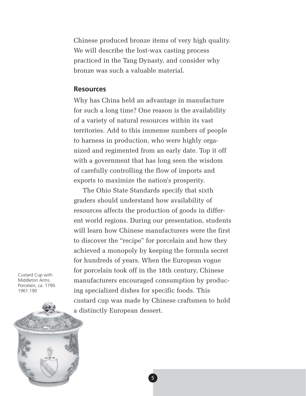Chinese produced bronze items of very high quality. We will describe the lost-wax casting process practiced in the Tang Dynasty, and consider why bronze was such a valuable material.

#### **Resources**

Why has China held an advantage in manufacture for such a long time? One reason is the availability of a variety of natural resources within its vast territories. Add to this immense numbers of people to harness in production, who were highly organized and regimented from an early date. Top it off with a government that has long seen the wisdom of carefully controlling the flow of imports and exports to maximize the nation's prosperity.

The Ohio State Standards specify that sixth graders should understand how availability of resources affects the production of goods in different world regions. During our presentation, students will learn how Chinese manufacturers were the first to discover the "recipe" for porcelain and how they achieved a monopoly by keeping the formula secret for hundreds of years. When the European vogue for porcelain took off in the 18th century, Chinese manufacturers encouraged consumption by producing specialized dishes for specific foods. This custard cup was made by Chinese craftsmen to hold a distinctly European dessert.

Custard Cup with Middleton Arms. Porcelain, ca. 1790. 1961.190

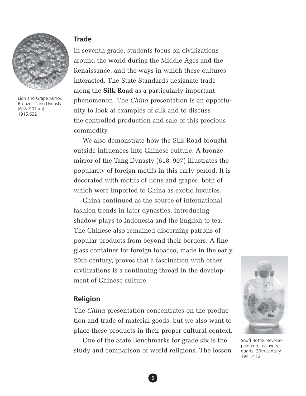

Lion and Grape Mirror. Bronze, T'ang Dynasty (618–907 AD). 1915.632

### **Trade**

In seventh grade, students focus on civilizations around the world during the Middle Ages and the Renaissance, and the ways in which these cultures interacted. The State Standards designate trade along the **Silk Road** as a particularly important phenomenon. The *China* presentation is an opportunity to look at examples of silk and to discuss the controlled production and sale of this precious commodity.

We also demonstrate how the Silk Road brought outside influences into Chinese culture. A bronze mirror of the Tang Dynasty (618–907) illustrates the popularity of foreign motifs in this early period. It is decorated with motifs of lions and grapes, both of which were imported to China as exotic luxuries.

China continued as the source of international fashion trends in later dynasties, introducing shadow plays to Indonesia and the English to tea. The Chinese also remained discerning patrons of popular products from beyond their borders. A fine glass container for foreign tobacco, made in the early 20th century, proves that a fascination with other civilizations is a continuing thread in the development of Chinese culture.

### **Religion**

The *China* presentation concentrates on the production and trade of material goods, but we also want to place these products in their proper cultural context.

One of the State Benchmarks for grade six is the study and comparison of world religions. The lesson



Snuff Bottle. Reversepainted glass, ivory, quartz, 20th century. 1941.416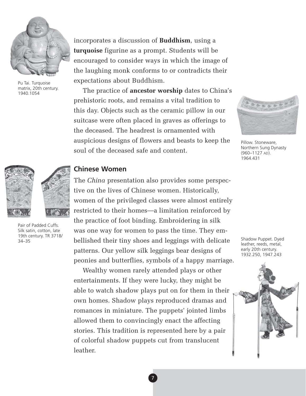

Pu Tai. Turquoise matrix, 20th century. 1940.1054

incorporates a discussion of **Buddhism**, using a **turquoise** figurine as a prompt. Students will be encouraged to consider ways in which the image of the laughing monk conforms to or contradicts their expectations about Buddhism.

The practice of **ancestor worship** dates to China's prehistoric roots, and remains a vital tradition to this day. Objects such as the ceramic pillow in our suitcase were often placed in graves as offerings to the deceased. The headrest is ornamented with auspicious designs of flowers and beasts to keep the soul of the deceased safe and content.



Pillow. Stoneware, Northern Sung Dynasty (960–1127 AD). 1964.431



Pair of Padded Cuffs. Silk satin, cotton, late 19th century. TR 3718/ 34–35

### **Chinese Women**

The *China* presentation also provides some perspective on the lives of Chinese women. Historically, women of the privileged classes were almost entirely restricted to their homes—a limitation reinforced by the practice of foot binding. Embroidering in silk was one way for women to pass the time. They embellished their tiny shoes and leggings with delicate patterns. Our yellow silk leggings bear designs of peonies and butterflies, symbols of a happy marriage.

Wealthy women rarely attended plays or other entertainments. If they were lucky, they might be able to watch shadow plays put on for them in their own homes. Shadow plays reproduced dramas and romances in miniature. The puppets' jointed limbs allowed them to convincingly enact the affecting stories. This tradition is represented here by a pair of colorful shadow puppets cut from translucent leather.

Shadow Puppet. Dyed leather, reeds, metal, early 20th century. 1932.250, 1947.243

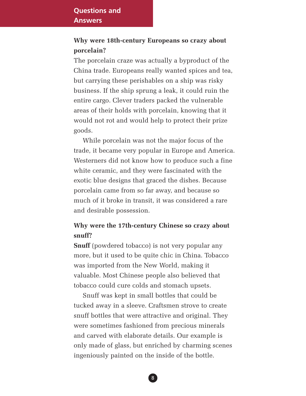### **Why were 18th-century Europeans so crazy about porcelain?**

The porcelain craze was actually a byproduct of the China trade. Europeans really wanted spices and tea, but carrying these perishables on a ship was risky business. If the ship sprung a leak, it could ruin the entire cargo. Clever traders packed the vulnerable areas of their holds with porcelain, knowing that it would not rot and would help to protect their prize goods.

While porcelain was not the major focus of the trade, it became very popular in Europe and America. Westerners did not know how to produce such a fine white ceramic, and they were fascinated with the exotic blue designs that graced the dishes. Because porcelain came from so far away, and because so much of it broke in transit, it was considered a rare and desirable possession.

## **Why were the 17th-century Chinese so crazy about snuff?**

**Snuff** (powdered tobacco) is not very popular any more, but it used to be quite chic in China. Tobacco was imported from the New World, making it valuable. Most Chinese people also believed that tobacco could cure colds and stomach upsets.

Snuff was kept in small bottles that could be tucked away in a sleeve. Craftsmen strove to create snuff bottles that were attractive and original. They were sometimes fashioned from precious minerals and carved with elaborate details. Our example is only made of glass, but enriched by charming scenes ingeniously painted on the inside of the bottle.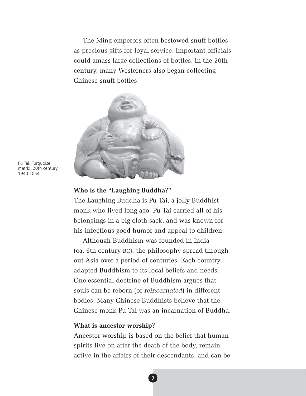The Ming emperors often bestowed snuff bottles as precious gifts for loyal service. Important officials could amass large collections of bottles. In the 20th century, many Westerners also began collecting Chinese snuff bottles.



Pu Tai. Turquoise matrix, 20th century. 1940.1054

#### **Who is the "Laughing Buddha?"**

The Laughing Buddha is Pu Tai, a jolly Buddhist monk who lived long ago. Pu Tai carried all of his belongings in a big cloth sack, and was known for his infectious good humor and appeal to children.

Although Buddhism was founded in India (ca. 6th century BC), the philosophy spread throughout Asia over a period of centuries. Each country adapted Buddhism to its local beliefs and needs. One essential doctrine of Buddhism argues that souls can be reborn (or *reincarnated*) in different bodies. Many Chinese Buddhists believe that the Chinese monk Pu Tai was an incarnation of Buddha.

#### **What is ancestor worship?**

Ancestor worship is based on the belief that human spirits live on after the death of the body, remain active in the affairs of their descendants, and can be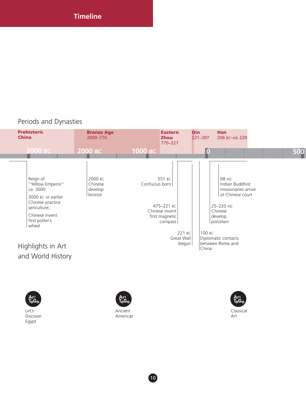### Periods and Dynasties





Let's Discover Egypt



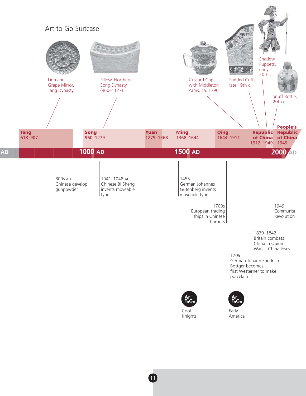

Cool Knights

Early America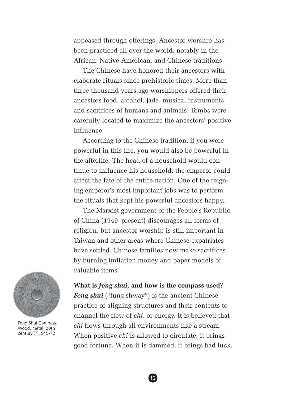appeased through offerings. Ancestor worship has been practiced all over the world, notably in the African, Native American, and Chinese traditions.

The Chinese have honored their ancestors with elaborate rituals since prehistoric times. More than three thousand years ago worshippers offered their ancestors food, alcohol, jade, musical instruments, and sacrifices of humans and animals. Tombs were carefully located to maximize the ancestors' positive influence.

According to the Chinese tradition, if you were powerful in this life, you would also be powerful in the afterlife. The head of a household would continue to influence his household; the emperor could affect the fate of the entire nation. One of the reigning emperor's most important jobs was to perform the rituals that kept his powerful ancestors happy.

The Marxist government of the People's Republic of China (1949–present) discourages all forms of religion, but ancestor worship is still important in Taiwan and other areas where Chinese expatriates have settled. Chinese families now make sacrifices by burning imitation money and paper models of valuable items.



Feng Shui Compass. Wood, metal, 20th century (?). S45-72

**What is** *feng shui***, and how is the compass used?**

*Feng shui* ("fung shway") is the ancient Chinese practice of aligning structures and their contents to channel the flow of *chi*, or energy. It is believed that *chi* flows through all environments like a stream. When positive *chi* is allowed to circulate, it brings good fortune. When it is dammed, it brings bad luck.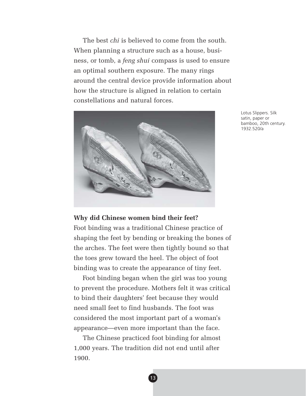The best *chi* is believed to come from the south. When planning a structure such as a house, business, or tomb, a *feng shui* compass is used to ensure an optimal southern exposure. The many rings around the central device provide information about how the structure is aligned in relation to certain constellations and natural forces.



Lotus Slippers. Silk satin, paper or bamboo, 20th century. 1932.520/a

### **Why did Chinese women bind their feet?**

Foot binding was a traditional Chinese practice of shaping the feet by bending or breaking the bones of the arches. The feet were then tightly bound so that the toes grew toward the heel. The object of foot binding was to create the appearance of tiny feet.

Foot binding began when the girl was too young to prevent the procedure. Mothers felt it was critical to bind their daughters' feet because they would need small feet to find husbands. The foot was considered the most important part of a woman's appearance—even more important than the face.

The Chinese practiced foot binding for almost 1,000 years. The tradition did not end until after 1900.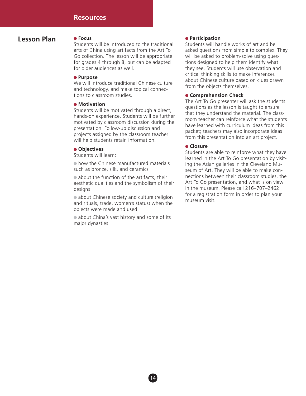### **Lesson Plan**

#### **Focus**

Students will be introduced to the traditional arts of China using artifacts from the Art To Go collection. The lesson will be appropriate for grades 4 through 8, but can be adapted for older audiences as well.

#### **Purpose**

We will introduce traditional Chinese culture and technology, and make topical connections to classroom studies.

#### **Motivation**

Students will be motivated through a direct, hands-on experience. Students will be further motivated by classroom discussion during the presentation. Follow-up discussion and projects assigned by the classroom teacher will help students retain information.

#### **Objectives**

Students will learn:

 $\bullet$  how the Chinese manufactured materials such as bronze, silk, and ceramics

• about the function of the artifacts, their aesthetic qualities and the symbolism of their designs

• about Chinese society and culture (religion and rituals, trade, women's status) when the objects were made and used

• about China's vast history and some of its major dynasties

#### **Participation**

Students will handle works of art and be asked questions from simple to complex. They will be asked to problem-solve using questions designed to help them identify what they see. Students will use observation and critical thinking skills to make inferences about Chinese culture based on clues drawn from the objects themselves.

#### **Comprehension Check**

The Art To Go presenter will ask the students questions as the lesson is taught to ensure that they understand the material. The classroom teacher can reinforce what the students have learned with curriculum ideas from this packet; teachers may also incorporate ideas from this presentation into an art project.

#### **Closure**

Students are able to reinforce what they have learned in the Art To Go presentation by visiting the Asian galleries in the Cleveland Museum of Art. They will be able to make connections between their classroom studies, the Art To Go presentation, and what is on view in the museum. Please call 216–707–2462 for a registration form in order to plan your museum visit.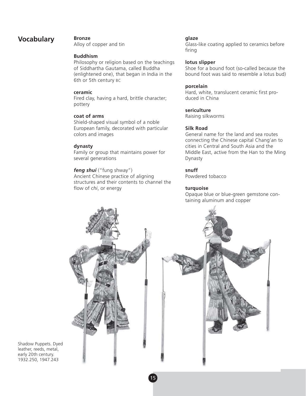### **Vocabulary Bronze**

Alloy of copper and tin

#### **Buddhism**

Philosophy or religion based on the teachings of Siddhartha Gautama, called Buddha (enlightened one), that began in India in the 6th or 5th century BC

#### **ceramic**

Fired clay, having a hard, brittle character; pottery

#### **coat of arms**

Shield-shaped visual symbol of a noble European family, decorated with particular colors and images

#### **dynasty**

Family or group that maintains power for several generations

#### *feng shui* ("fung shway")

Ancient Chinese practice of aligning structures and their contents to channel the flow of *chi*, or energy

#### **glaze**

Glass-like coating applied to ceramics before firing

#### **lotus slipper**

Shoe for a bound foot (so-called because the bound foot was said to resemble a lotus bud)

#### **porcelain**

Hard, white, translucent ceramic first produced in China

#### **sericulture**

Raising silkworms

#### **Silk Road**

General name for the land and sea routes connecting the Chinese capital Chang'an to cities in Central and South Asia and the Middle East, active from the Han to the Ming Dynasty

#### **snuff**

Powdered tobacco

#### **turquoise**

Opaque blue or blue-green gemstone containing aluminum and copper



Shadow Puppets. Dyed leather, reeds, metal, early 20th century. 1932.250, 1947.243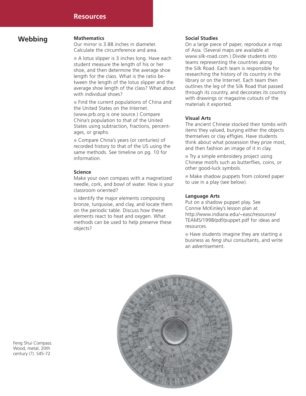### **Webbing Mathematics**

Our mirror is 3.88 inches in diameter. Calculate the circumference and area.

A lotus slipper is 3 inches long. Have each student measure the length of his or her shoe, and then determine the average shoe length for the class. What is the ratio between the length of the lotus slipper and the average shoe length of the class? What about with individual shoes?

Find the current populations of China and the United States on the Internet. (www.prb.org is one source.) Compare China's population to that of the United States using subtraction, fractions, percentages, or graphs.

Compare China's years (or centuries) of recorded history to that of the US using the same methods. See timeline on pg. 10 for information.

#### **Science**

Make your own compass with a magnetized needle, cork, and bowl of water. How is your classroom oriented?

I dentify the major elements composing bronze, turquoise, and clay, and locate them on the periodic table. Discuss how these elements react to heat and oxygen. What methods can be used to help preserve these objects?

#### **Social Studies**

On a large piece of paper, reproduce a map of Asia. (Several maps are available at www.silk-road.com.) Divide students into teams representing the countries along the Silk Road. Each team is responsible for researching the history of its country in the library or on the Internet. Each team then outlines the leg of the Silk Road that passed through its country, and decorates its country with drawings or magazine cutouts of the materials it exported.

#### **Visual Arts**

The ancient Chinese stocked their tombs with items they valued, burying either the objects themselves or clay effigies. Have students think about what possession they prize most, and then fashion an image of it in clay.

**Try a simple embroidery project using** Chinese motifs such as butterflies, coins, or other good-luck symbols.

Make shadow puppets from colored paper to use in a play (see below).

#### **Language Arts**

Put on a shadow puppet play. See Connie McKinley's lesson plan at http://www.indiana.edu/~easc/resources/ TEAMS/1998/pdf/puppet.pdf for ideas and resources.

Have students imagine they are starting a business as *feng shui* consultants, and write an advertisement.



Feng Shui Compass. Wood, metal, 20th century (?). S45-72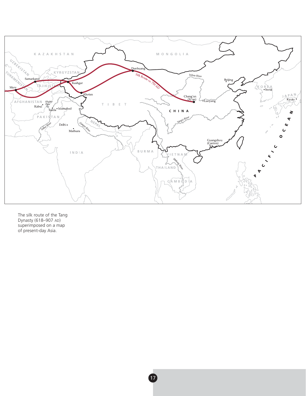

The silk route of the Tang Dynasty (618–907 AD) superimposed on a map of present-day Asia.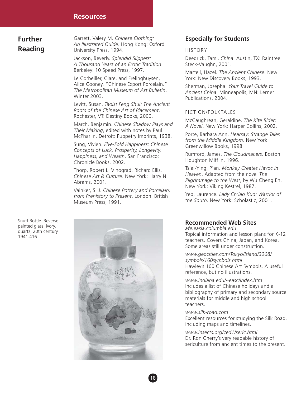#### **Resources**

**Further Reading** Garrett, Valery M. *Chinese Clothing: An Illustrated Guide*. Hong Kong: Oxford University Press, 1994.

Jackson, Beverly. *Splendid Slippers: A Thousand Years of an Erotic Tradition*. Berkeley: 10 Speed Press, 1997.

Le Corbeiller, Clare, and Frelinghuysen, Alice Cooney. "Chinese Export Porcelain." *The Metropolitan Museum of Art Bulletin*, Winter 2003.

Levitt, Susan. *Taoist Feng Shui: The Ancient Roots of the Chinese Art of Placement*. Rochester, VT: Destiny Books, 2000.

March, Benjamin. *Chinese Shadow Plays and Their Making*, edited with notes by Paul McPharlin. Detroit: Puppetry Imprints, 1938.

Sung, Vivien. *Five-Fold Happiness: Chinese Concepts of Luck, Prosperity, Longevity, Happiness, and Wealth*. San Francisco: Chronicle Books, 2002.

Thorp, Robert L. Vinograd, Richard Ellis. *Chinese Art & Culture*. New York: Harry N. Abrams, 2001.

Vainker, S. J. *Chinese Pottery and Porcelain: from Prehistory to Present*. London: British Museum Press, 1991.

#### **Especially for Students**

#### HISTORY

Deedrick, Tami. *China*. Austin, TX: Raintree Steck-Vaughn, 2001.

Martell, Hazel. *The Ancient Chinese*. New York: New Discovery Books, 1993.

Sherman, Josepha. *Your Travel Guide to Ancient China*. Minneapolis, MN: Lerner Publications, 2004.

#### FICTION/FOLKTALES

McCaughrean, Geraldine. *The Kite Rider: A Novel*. New York: Harper Collins, 2002.

Porte, Barbara Ann. *Hearsay: Strange Tales from the Middle Kingdom*. New York: Greenwillow Books, 1998.

Rumford, James. *The Cloudmakers*. Boston: Houghton Mifflin, 1996.

Ts'ai-Ying, P'an. *Monkey Creates Havoc in Heaven*. Adapted from the novel *The Pilgrimmage to the West*, by Wu Cheng En. New York: Viking Kestrel, 1987.

Yep, Laurence. *Lady Ch'iao Kuo: Warrior of the South*. New York: Scholastic, 2001.

### **Recommended Web Sites**

*afe.easia.columbia.edu* Topical information and lesson plans for K-12 teachers. Covers China, Japan, and Korea. Some areas still under construction.

*www.geocities.com/Tokyo/Island/3268/ symbols/160symbols.html* Hawley's 160 Chinese Art Symbols. A useful reference, but no illustrations.

*www.indiana.edu/~easc/index.htm* Includes a list of Chinese holidays and a bibliography of primary and secondary source materials for middle and high school teachers.

*www.silk-road.com* Excellent resources for studying the Silk Road, including maps and timelines.

*www.insects.org/ced1/seric.html* Dr. Ron Cherry's very readable history of sericulture from ancient times to the present.

Snuff Bottle. Reversepainted glass, ivory, quartz, 20th century. 1941.416

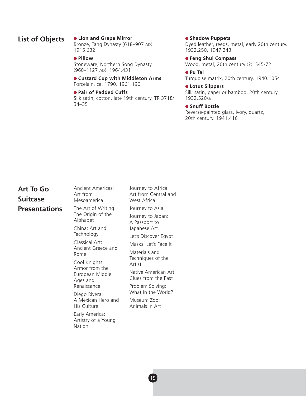### **List of Objects**

#### **Lion and Grape Mirror**

Bronze, Tang Dynasty (618–907 AD). 1915.632

#### **•** Pillow

Stoneware, Northern Song Dynasty (960–1127 AD). 1964.431

**Custard Cup with Middleton Arms** Porcelain, ca. 1790. 1961.190

#### **Pair of Padded Cuffs**

Silk satin, cotton, late 19th century. TR 3718/ 34–35

#### **• Shadow Puppets**

Dyed leather, reeds, metal, early 20th century. 1932.250, 1947.243

**Feng Shui Compass** Wood, metal, 20th century (?). S45-72

**Pu Tai** Turquoise matrix, 20th century. 1940.1054

**Lotus Slippers** Silk satin, paper or bamboo, 20th century. 1932.520/a

#### **Snuff Bottle**

Reverse-painted glass, ivory, quartz, 20th century. 1941.416

## **Art To Go Suitcase Presentations**

| Ancient Americas:<br>Art from                                                                                                 | Journey to Africa:<br>Art from Central and  |
|-------------------------------------------------------------------------------------------------------------------------------|---------------------------------------------|
| Mesoamerica                                                                                                                   | West Africa                                 |
| The Art of Writing:<br>The Origin of the<br>Alphabet<br>China: Art and<br>Technology                                          | Journey to Asia                             |
|                                                                                                                               | Journey to Japan:<br>A Passport to          |
|                                                                                                                               | Japanese Art                                |
|                                                                                                                               | Let's Discover Egypt                        |
| Classical Art:<br>Ancient Greece and<br>Rome<br>Cool Knights:<br>Armor from the<br>European Middle<br>Ages and<br>Renaissance | Masks: Let's Face It                        |
|                                                                                                                               | Materials and<br>Techniques of the          |
|                                                                                                                               | Artist                                      |
|                                                                                                                               | Native American Art:<br>Clues from the Past |
|                                                                                                                               | Problem Solving:<br>What in the World?      |
| Diego Rivera:                                                                                                                 |                                             |
| A Mexican Hero and<br>His Culture                                                                                             | Museum Zoo:<br>Animals in Art               |
| Early America:<br>Artistry of a Young<br>Nation                                                                               |                                             |